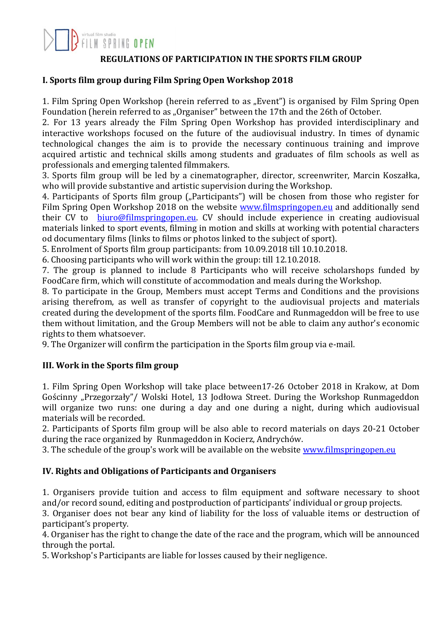

#### **REGULATIONS OF PARTICIPATION IN THE SPORTS FILM GROUP**

#### **I. Sports film group during Film Spring Open Workshop 2018**

1. Film Spring Open Workshop (herein referred to as "Event") is organised by Film Spring Open Foundation (herein referred to as "Organiser" between the 17th and the 26th of October.

2. For 13 years already the Film Spring Open Workshop has provided interdisciplinary and interactive workshops focused on the future of the audiovisual industry. In times of dynamic technological changes the aim is to provide the necessary continuous training and improve acquired artistic and technical skills among students and graduates of film schools as well as professionals and emerging talented filmmakers.

3. Sports film group will be led by a cinematographer, director, screenwriter, Marcin Koszałka, who will provide substantive and artistic supervision during the Workshop.

4. Participants of Sports film group ("Participants") will be chosen from those who register for Film Spring Open Workshop 2018 on the website [www.filmspringopen.eu](file:///C:/Users/Marta/Desktop/MCEA_papiery/papier_listowy/www.filmspringopen.eu) and additionally send their CV to [biuro@filmspringopen.eu.](file:///C:/Users/Marta/Desktop/MCEA_papiery/papier_listowy/biuro@filmspringopen.eu) CV should include experience in creating audiovisual materials linked to sport events, filming in motion and skills at working with potential characters od documentary films (links to films or photos linked to the subject of sport).

5. Enrolment of Sports film group participants: from 10.09.2018 till 10.10.2018.

6. Choosing participants who will work within the group: till 12.10.2018.

7. The group is planned to include 8 Participants who will receive scholarshops funded by FoodCare firm, which will constitute of accommodation and meals during the Workshop.

8. To participate in the Group, Members must accept Terms and Conditions and the provisions arising therefrom, as well as transfer of copyright to the audiovisual projects and materials created during the development of the sports film. FoodCare and Runmageddon will be free to use them without limitation, and the Group Members will not be able to claim any author's economic rights to them whatsoever.

9. The Organizer will confirm the participation in the Sports film group via e-mail.

## **III. Work in the Sports film group**

1. Film Spring Open Workshop will take place between17-26 October 2018 in Krakow, at Dom Gościnny "Przegorzały"/ Wolski Hotel, 13 Jodłowa Street. During the Workshop Runmageddon will organize two runs: one during a day and one during a night, during which audiovisual materials will be recorded.

2. Participants of Sports film group will be also able to record materials on days 20-21 October during the race organized by Runmageddon in Kocierz, Andrychów.

3. The schedule of the group's work will be available on the website [www.filmspringopen.eu](file:///C:/Users/Marta/Desktop/MCEA_papiery/papier_listowy/www.filmspringopen.eu)

## **IV. Rights and Obligations of Participants and Organisers**

1. Organisers provide tuition and access to film equipment and software necessary to shoot and/or record sound, editing and postproduction of participants' individual or group projects.

3. Organiser does not bear any kind of liability for the loss of valuable items or destruction of participant's property.

4. Organiser has the right to change the date of the race and the program, which will be announced through the portal.

5. Workshop's Participants are liable for losses caused by their negligence.